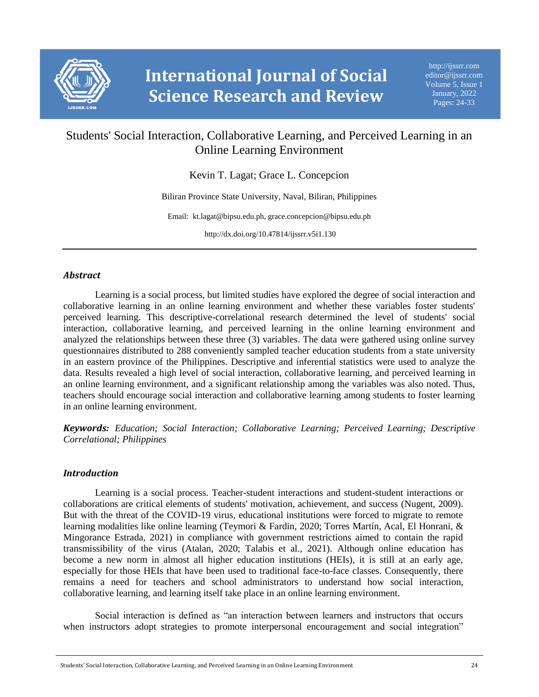

# Students' Social Interaction, Collaborative Learning, and Perceived Learning in an Online Learning Environment

Kevin T. Lagat; Grace L. Concepcion

Biliran Province State University, Naval, Biliran, Philippines

Email: kt.lagat@bipsu.edu.ph, grace.concepcion@bipsu.edu.ph

http://dx.doi.org/10.47814/ijssrr.v5i1.130

## *Abstract*

Learning is a social process, but limited studies have explored the degree of social interaction and collaborative learning in an online learning environment and whether these variables foster students' perceived learning. This descriptive-correlational research determined the level of students' social interaction, collaborative learning, and perceived learning in the online learning environment and analyzed the relationships between these three (3) variables. The data were gathered using online survey questionnaires distributed to 288 conveniently sampled teacher education students from a state university in an eastern province of the Philippines. Descriptive and inferential statistics were used to analyze the data. Results revealed a high level of social interaction, collaborative learning, and perceived learning in an online learning environment, and a significant relationship among the variables was also noted. Thus, teachers should encourage social interaction and collaborative learning among students to foster learning in an online learning environment.

*Keywords: Education; Social Interaction; Collaborative Learning; Perceived Learning; Descriptive Correlational; Philippines*

## *Introduction*

Learning is a social process. Teacher-student interactions and student-student interactions or collaborations are critical elements of students' motivation, achievement, and success (Nugent, 2009). But with the threat of the COVID-19 virus, educational institutions were forced to migrate to remote learning modalities like online learning (Teymori & Fardin, 2020; Torres Martín, Acal, El Honrani, & Mingorance Estrada, 2021) in compliance with government restrictions aimed to contain the rapid transmissibility of the virus (Atalan, 2020; Talabis et al., 2021). Although online education has become a new norm in almost all higher education institutions (HEIs), it is still at an early age, especially for those HEIs that have been used to traditional face-to-face classes. Consequently, there remains a need for teachers and school administrators to understand how social interaction, collaborative learning, and learning itself take place in an online learning environment.

Social interaction is defined as "an interaction between learners and instructors that occurs when instructors adopt strategies to promote interpersonal encouragement and social integration"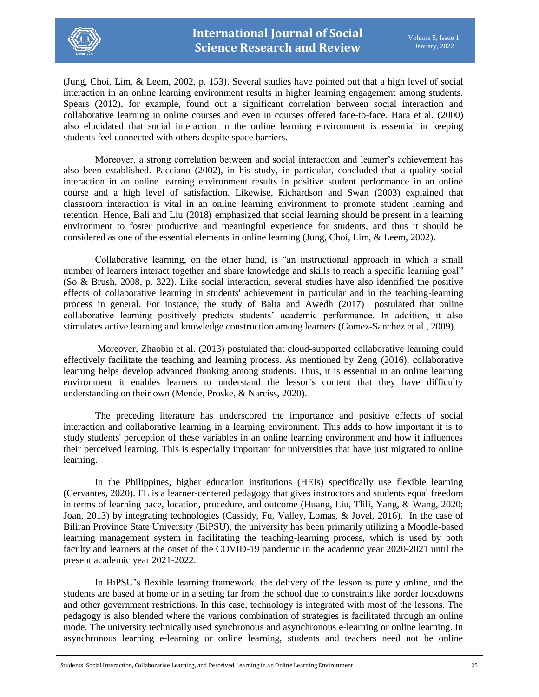

(Jung, Choi, Lim, & Leem, 2002, p. 153). Several studies have pointed out that a high level of social interaction in an online learning environment results in higher learning engagement among students. Spears (2012), for example, found out a significant correlation between social interaction and collaborative learning in online courses and even in courses offered face-to-face. Hara et al. (2000) also elucidated that social interaction in the online learning environment is essential in keeping students feel connected with others despite space barriers.

Moreover, a strong correlation between and social interaction and learner's achievement has also been established. Pacciano (2002), in his study, in particular, concluded that a quality social interaction in an online learning environment results in positive student performance in an online course and a high level of satisfaction. Likewise, Richardson and Swan (2003) explained that classroom interaction is vital in an online learning environment to promote student learning and retention. Hence, Bali and Liu (2018) emphasized that social learning should be present in a learning environment to foster productive and meaningful experience for students, and thus it should be considered as one of the essential elements in online learning (Jung, Choi, Lim, & Leem, 2002).

Collaborative learning, on the other hand, is "an instructional approach in which a small number of learners interact together and share knowledge and skills to reach a specific learning goal" (So & Brush, 2008, p. 322). Like social interaction, several studies have also identified the positive effects of collaborative learning in students' achievement in particular and in the teaching-learning process in general. For instance, the study of Balta and Awedh (2017) postulated that online collaborative learning positively predicts students' academic performance. In addition, it also stimulates active learning and knowledge construction among learners (Gomez-Sanchez et al., 2009).

Moreover, Zhaobin et al. (2013) postulated that cloud-supported collaborative learning could effectively facilitate the teaching and learning process. As mentioned by Zeng (2016), collaborative learning helps develop advanced thinking among students. Thus, it is essential in an online learning environment it enables learners to understand the lesson's content that they have difficulty understanding on their own (Mende, Proske, & Narciss, 2020).

The preceding literature has underscored the importance and positive effects of social interaction and collaborative learning in a learning environment. This adds to how important it is to study students' perception of these variables in an online learning environment and how it influences their perceived learning. This is especially important for universities that have just migrated to online learning.

In the Philippines, higher education institutions (HEIs) specifically use flexible learning (Cervantes, 2020). FL is a learner-centered pedagogy that gives instructors and students equal freedom in terms of learning pace, location, procedure, and outcome (Huang, Liu, Tlili, Yang, & Wang, 2020; Joan, 2013) by integrating technologies (Cassidy, Fu, Valley, Lomas, & Jovel, 2016). In the case of Biliran Province State University (BiPSU), the university has been primarily utilizing a Moodle-based learning management system in facilitating the teaching-learning process, which is used by both faculty and learners at the onset of the COVID-19 pandemic in the academic year 2020-2021 until the present academic year 2021-2022.

In BiPSU's flexible learning framework, the delivery of the lesson is purely online, and the students are based at home or in a setting far from the school due to constraints like border lockdowns and other government restrictions. In this case, technology is integrated with most of the lessons. The pedagogy is also blended where the various combination of strategies is facilitated through an online mode. The university technically used synchronous and asynchronous e-learning or online learning. In asynchronous learning e-learning or online learning, students and teachers need not be online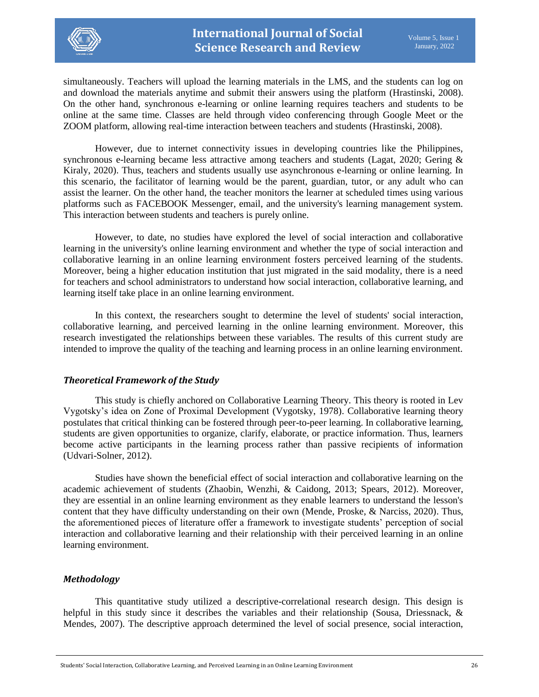

simultaneously. Teachers will upload the learning materials in the LMS, and the students can log on and download the materials anytime and submit their answers using the platform (Hrastinski, 2008). On the other hand, synchronous e-learning or online learning requires teachers and students to be online at the same time. Classes are held through video conferencing through Google Meet or the ZOOM platform, allowing real-time interaction between teachers and students (Hrastinski, 2008).

However, due to internet connectivity issues in developing countries like the Philippines, synchronous e-learning became less attractive among teachers and students (Lagat, 2020; Gering & Kiraly, 2020). Thus, teachers and students usually use asynchronous e-learning or online learning. In this scenario, the facilitator of learning would be the parent, guardian, tutor, or any adult who can assist the learner. On the other hand, the teacher monitors the learner at scheduled times using various platforms such as FACEBOOK Messenger, email, and the university's learning management system. This interaction between students and teachers is purely online.

However, to date, no studies have explored the level of social interaction and collaborative learning in the university's online learning environment and whether the type of social interaction and collaborative learning in an online learning environment fosters perceived learning of the students. Moreover, being a higher education institution that just migrated in the said modality, there is a need for teachers and school administrators to understand how social interaction, collaborative learning, and learning itself take place in an online learning environment.

In this context, the researchers sought to determine the level of students' social interaction, collaborative learning, and perceived learning in the online learning environment. Moreover, this research investigated the relationships between these variables. The results of this current study are intended to improve the quality of the teaching and learning process in an online learning environment.

## *Theoretical Framework of the Study*

This study is chiefly anchored on Collaborative Learning Theory. This theory is rooted in Lev Vygotsky's idea on Zone of Proximal Development (Vygotsky, 1978). Collaborative learning theory postulates that critical thinking can be fostered through peer-to-peer learning. In collaborative learning, students are given opportunities to organize, clarify, elaborate, or practice information. Thus, learners become active participants in the learning process rather than passive recipients of information (Udvari-Solner, 2012).

Studies have shown the beneficial effect of social interaction and collaborative learning on the academic achievement of students (Zhaobin, Wenzhi, & Caidong, 2013; Spears, 2012). Moreover, they are essential in an online learning environment as they enable learners to understand the lesson's content that they have difficulty understanding on their own (Mende, Proske, & Narciss, 2020). Thus, the aforementioned pieces of literature offer a framework to investigate students' perception of social interaction and collaborative learning and their relationship with their perceived learning in an online learning environment.

#### *Methodology*

This quantitative study utilized a descriptive-correlational research design. This design is helpful in this study since it describes the variables and their relationship (Sousa, Driessnack, & Mendes, 2007). The descriptive approach determined the level of social presence, social interaction,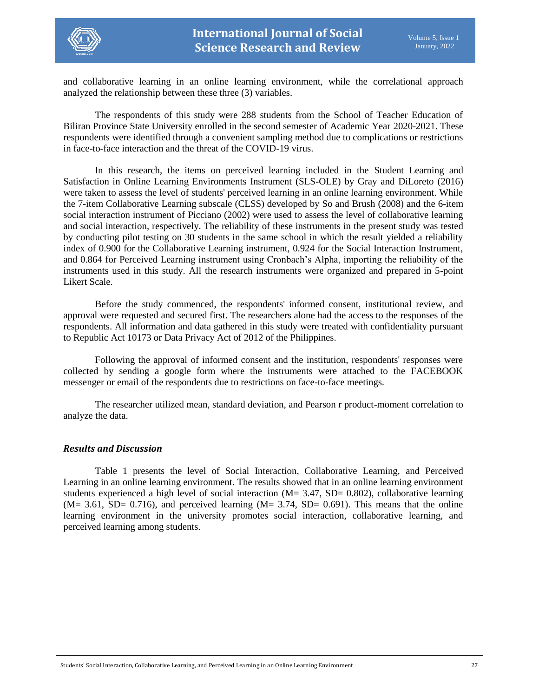

and collaborative learning in an online learning environment, while the correlational approach analyzed the relationship between these three (3) variables.

The respondents of this study were 288 students from the School of Teacher Education of Biliran Province State University enrolled in the second semester of Academic Year 2020-2021. These respondents were identified through a convenient sampling method due to complications or restrictions in face-to-face interaction and the threat of the COVID-19 virus.

In this research, the items on perceived learning included in the Student Learning and Satisfaction in Online Learning Environments Instrument (SLS-OLE) by Gray and DiLoreto (2016) were taken to assess the level of students' perceived learning in an online learning environment. While the 7-item Collaborative Learning subscale (CLSS) developed by So and Brush (2008) and the 6-item social interaction instrument of Picciano (2002) were used to assess the level of collaborative learning and social interaction, respectively. The reliability of these instruments in the present study was tested by conducting pilot testing on 30 students in the same school in which the result yielded a reliability index of 0.900 for the Collaborative Learning instrument, 0.924 for the Social Interaction Instrument, and 0.864 for Perceived Learning instrument using Cronbach's Alpha, importing the reliability of the instruments used in this study. All the research instruments were organized and prepared in 5-point Likert Scale.

Before the study commenced, the respondents' informed consent, institutional review, and approval were requested and secured first. The researchers alone had the access to the responses of the respondents. All information and data gathered in this study were treated with confidentiality pursuant to Republic Act 10173 or Data Privacy Act of 2012 of the Philippines.

Following the approval of informed consent and the institution, respondents' responses were collected by sending a google form where the instruments were attached to the FACEBOOK messenger or email of the respondents due to restrictions on face-to-face meetings.

The researcher utilized mean, standard deviation, and Pearson r product-moment correlation to analyze the data.

#### *Results and Discussion*

Table 1 presents the level of Social Interaction, Collaborative Learning, and Perceived Learning in an online learning environment. The results showed that in an online learning environment students experienced a high level of social interaction (M= 3.47, SD= 0.802), collaborative learning  $(M= 3.61, SD= 0.716)$ , and perceived learning  $(M= 3.74, SD= 0.691)$ . This means that the online learning environment in the university promotes social interaction, collaborative learning, and perceived learning among students.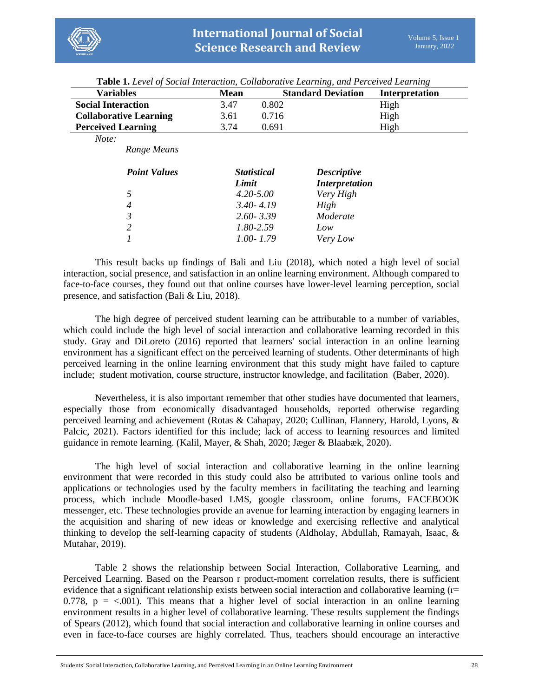

| <b>Mean</b> |       |                                                                                                              | Interpretation                                     |
|-------------|-------|--------------------------------------------------------------------------------------------------------------|----------------------------------------------------|
| 3.47        | 0.802 |                                                                                                              | High                                               |
| 3.61        | 0.716 |                                                                                                              | High                                               |
| 3.74        | 0.691 |                                                                                                              | High                                               |
|             |       |                                                                                                              |                                                    |
|             |       |                                                                                                              |                                                    |
|             |       | <b>Descriptive</b>                                                                                           |                                                    |
|             |       | Very High                                                                                                    |                                                    |
|             |       | High                                                                                                         |                                                    |
|             |       | Moderate                                                                                                     |                                                    |
|             |       | Low                                                                                                          |                                                    |
|             |       | Very Low                                                                                                     |                                                    |
|             |       | <b>Statistical</b><br>Limit<br>$4.20 - 5.00$<br>$3.40 - 4.19$<br>$2.60 - 3.39$<br>1.80-2.59<br>$1.00 - 1.79$ | <b>Standard Deviation</b><br><b>Interpretation</b> |

**Table 1.** *Level of Social Interaction, Collaborative Learning, and Perceived Learning*

This result backs up findings of Bali and Liu (2018), which noted a high level of social interaction, social presence, and satisfaction in an online learning environment. Although compared to face-to-face courses, they found out that online courses have lower-level learning perception, social presence, and satisfaction (Bali & Liu, 2018).

The high degree of perceived student learning can be attributable to a number of variables, which could include the high level of social interaction and collaborative learning recorded in this study. Gray and DiLoreto (2016) reported that learners' social interaction in an online learning environment has a significant effect on the perceived learning of students. Other determinants of high perceived learning in the online learning environment that this study might have failed to capture include; student motivation, course structure, instructor knowledge, and facilitation (Baber, 2020).

Nevertheless, it is also important remember that other studies have documented that learners, especially those from economically disadvantaged households, reported otherwise regarding perceived learning and achievement (Rotas & Cahapay, 2020; Cullinan, Flannery, Harold, Lyons, & Palcic, 2021). Factors identified for this include; lack of access to learning resources and limited guidance in remote learning. (Kalil, Mayer, & Shah, 2020; Jæger & Blaabæk, 2020).

The high level of social interaction and collaborative learning in the online learning environment that were recorded in this study could also be attributed to various online tools and applications or technologies used by the faculty members in facilitating the teaching and learning process, which include Moodle-based LMS, google classroom, online forums, FACEBOOK messenger, etc. These technologies provide an avenue for learning interaction by engaging learners in the acquisition and sharing of new ideas or knowledge and exercising reflective and analytical thinking to develop the self-learning capacity of students (Aldholay, Abdullah, Ramayah, Isaac, & Mutahar, 2019).

Table 2 shows the relationship between Social Interaction, Collaborative Learning, and Perceived Learning. Based on the Pearson r product-moment correlation results, there is sufficient evidence that a significant relationship exists between social interaction and collaborative learning  $(r=$ 0.778,  $p = <.001$ ). This means that a higher level of social interaction in an online learning environment results in a higher level of collaborative learning. These results supplement the findings of Spears (2012), which found that social interaction and collaborative learning in online courses and even in face-to-face courses are highly correlated. Thus, teachers should encourage an interactive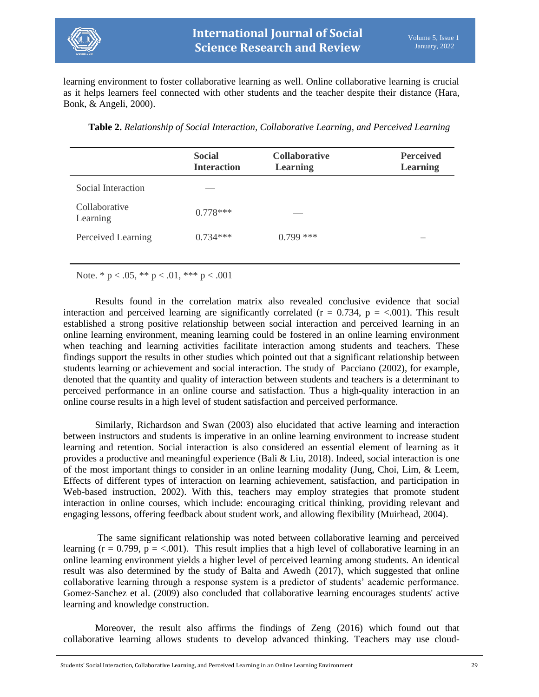

learning environment to foster collaborative learning as well. Online collaborative learning is crucial as it helps learners feel connected with other students and the teacher despite their distance (Hara, Bonk, & Angeli, 2000).

|                           | <b>Social</b><br><b>Interaction</b> | <b>Collaborative</b><br><b>Learning</b> | <b>Perceived</b><br><b>Learning</b> |
|---------------------------|-------------------------------------|-----------------------------------------|-------------------------------------|
| Social Interaction        |                                     |                                         |                                     |
| Collaborative<br>Learning | $0.778***$                          |                                         |                                     |
| Perceived Learning        | $0.734***$                          | $0.799$ ***                             |                                     |
|                           |                                     |                                         |                                     |

**Table 2.** *Relationship of Social Interaction, Collaborative Learning, and Perceived Learning*

Note.  $* p < .05, ** p < .01, ** p < .001$ 

Results found in the correlation matrix also revealed conclusive evidence that social interaction and perceived learning are significantly correlated ( $r = 0.734$ ,  $p = <.001$ ). This result established a strong positive relationship between social interaction and perceived learning in an online learning environment, meaning learning could be fostered in an online learning environment when teaching and learning activities facilitate interaction among students and teachers. These findings support the results in other studies which pointed out that a significant relationship between students learning or achievement and social interaction. The study of Pacciano (2002), for example, denoted that the quantity and quality of interaction between students and teachers is a determinant to perceived performance in an online course and satisfaction. Thus a high-quality interaction in an online course results in a high level of student satisfaction and perceived performance.

Similarly, Richardson and Swan (2003) also elucidated that active learning and interaction between instructors and students is imperative in an online learning environment to increase student learning and retention. Social interaction is also considered an essential element of learning as it provides a productive and meaningful experience (Bali & Liu, 2018). Indeed, social interaction is one of the most important things to consider in an online learning modality (Jung, Choi, Lim, & Leem, Effects of different types of interaction on learning achievement, satisfaction, and participation in Web-based instruction, 2002). With this, teachers may employ strategies that promote student interaction in online courses, which include: encouraging critical thinking, providing relevant and engaging lessons, offering feedback about student work, and allowing flexibility (Muirhead, 2004).

The same significant relationship was noted between collaborative learning and perceived learning ( $r = 0.799$ ,  $p = <.001$ ). This result implies that a high level of collaborative learning in an online learning environment yields a higher level of perceived learning among students. An identical result was also determined by the study of Balta and Awedh (2017), which suggested that online collaborative learning through a response system is a predictor of students' academic performance. Gomez-Sanchez et al. (2009) also concluded that collaborative learning encourages students' active learning and knowledge construction.

Moreover, the result also affirms the findings of Zeng (2016) which found out that collaborative learning allows students to develop advanced thinking. Teachers may use cloud-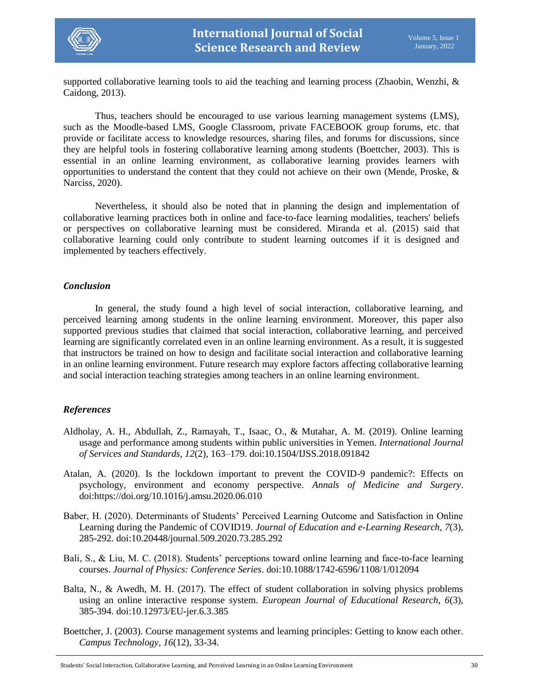

supported collaborative learning tools to aid the teaching and learning process (Zhaobin, Wenzhi, & Caidong, 2013).

Thus, teachers should be encouraged to use various learning management systems (LMS), such as the Moodle-based LMS, Google Classroom, private FACEBOOK group forums, etc. that provide or facilitate access to knowledge resources, sharing files, and forums for discussions, since they are helpful tools in fostering collaborative learning among students (Boettcher, 2003). This is essential in an online learning environment, as collaborative learning provides learners with opportunities to understand the content that they could not achieve on their own (Mende, Proske, & Narciss, 2020).

Nevertheless, it should also be noted that in planning the design and implementation of collaborative learning practices both in online and face-to-face learning modalities, teachers' beliefs or perspectives on collaborative learning must be considered. Miranda et al. (2015) said that collaborative learning could only contribute to student learning outcomes if it is designed and implemented by teachers effectively.

#### *Conclusion*

In general, the study found a high level of social interaction, collaborative learning, and perceived learning among students in the online learning environment. Moreover, this paper also supported previous studies that claimed that social interaction, collaborative learning, and perceived learning are significantly correlated even in an online learning environment. As a result, it is suggested that instructors be trained on how to design and facilitate social interaction and collaborative learning in an online learning environment. Future research may explore factors affecting collaborative learning and social interaction teaching strategies among teachers in an online learning environment.

## *References*

- Aldholay, A. H., Abdullah, Z., Ramayah, T., Isaac, O., & Mutahar, A. M. (2019). Online learning usage and performance among students within public universities in Yemen. *International Journal of Services and Standards, 12*(2), 163–179. doi:10.1504/IJSS.2018.091842
- Atalan, A. (2020). Is the lockdown important to prevent the COVID-9 pandemic?: Effects on psychology, environment and economy perspective. *Annals of Medicine and Surgery*. doi:https://doi.org/10.1016/j.amsu.2020.06.010
- Baber, H. (2020). Determinants of Students' Perceived Learning Outcome and Satisfaction in Online Learning during the Pandemic of COVID19. *Journal of Education and e-Learning Research, 7*(3), 285-292. doi:10.20448/journal.509.2020.73.285.292
- Bali, S., & Liu, M. C. (2018). Students' perceptions toward online learning and face-to-face learning courses. *Journal of Physics: Conference Series*. doi:10.1088/1742-6596/1108/1/012094
- Balta, N., & Awedh, M. H. (2017). The effect of student collaboration in solving physics problems using an online interactive response system. *European Journal of Educational Research, 6*(3), 385-394. doi:10.12973/EU-jer.6.3.385
- Boettcher, J. (2003). Course management systems and learning principles: Getting to know each other. *Campus Technology, 16*(12), 33-34.

Students' Social Interaction, Collaborative Learning, and Perceived Learning in an Online Learning Environment 30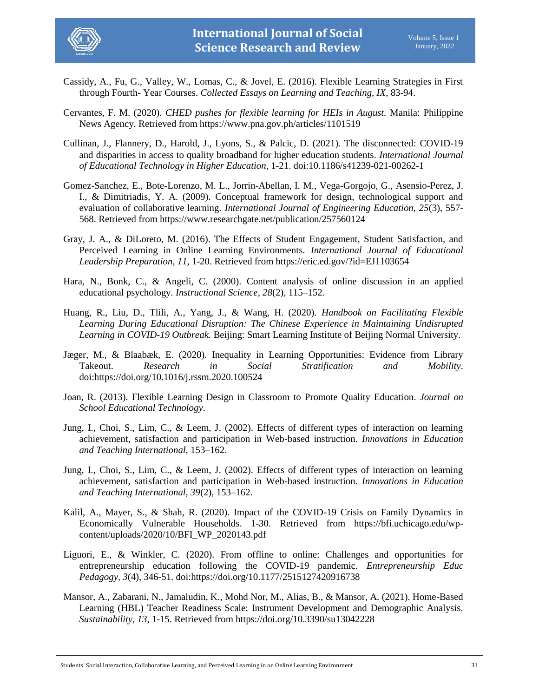

- Cassidy, A., Fu, G., Valley, W., Lomas, C., & Jovel, E. (2016). Flexible Learning Strategies in First through Fourth- Year Courses. *Collected Essays on Learning and Teaching, IX*, 83-94.
- Cervantes, F. M. (2020). *CHED pushes for flexible learning for HEIs in August.* Manila: Philippine News Agency. Retrieved from https://www.pna.gov.ph/articles/1101519
- Cullinan, J., Flannery, D., Harold, J., Lyons, S., & Palcic, D. (2021). The disconnected: COVID-19 and disparities in access to quality broadband for higher education students. *International Journal of Educational Technology in Higher Education*, 1-21. doi:10.1186/s41239-021-00262-1
- Gomez-Sanchez, E., Bote-Lorenzo, M. L., Jorrin-Abellan, I. M., Vega-Gorgojo, G., Asensio-Perez, J. I., & Dimitriadis, Y. A. (2009). Conceptual framework for design, technological support and evaluation of collaborative learning. *International Journal of Engineering Education, 25*(3), 557- 568. Retrieved from https://www.researchgate.net/publication/257560124
- Gray, J. A., & DiLoreto, M. (2016). The Effects of Student Engagement, Student Satisfaction, and Perceived Learning in Online Learning Environments. *International Journal of Educational Leadership Preparation, 11*, 1-20. Retrieved from https://eric.ed.gov/?id=EJ1103654
- Hara, N., Bonk, C., & Angeli, C. (2000). Content analysis of online discussion in an applied educational psychology. *Instructional Science, 28*(2), 115–152.
- Huang, R., Liu, D., Tlili, A., Yang, J., & Wang, H. (2020). *Handbook on Facilitating Flexible Learning During Educational Disruption: The Chinese Experience in Maintaining Undisrupted Learning in COVID-19 Outbreak.* Beijing: Smart Learning Institute of Beijing Normal University.
- Jæger, M., & Blaabæk, E. (2020). Inequality in Learning Opportunities: Evidence from Library Takeout. *Research in Social Stratification and Mobility*. doi:https://doi.org/10.1016/j.rssm.2020.100524
- Joan, R. (2013). Flexible Learning Design in Classroom to Promote Quality Education. *Journal on School Educational Technology*.
- Jung, I., Choi, S., Lim, C., & Leem, J. (2002). Effects of different types of interaction on learning achievement, satisfaction and participation in Web-based instruction. *Innovations in Education and Teaching International*, 153–162.
- Jung, I., Choi, S., Lim, C., & Leem, J. (2002). Effects of different types of interaction on learning achievement, satisfaction and participation in Web-based instruction. *Innovations in Education and Teaching International, 39*(2), 153–162.
- Kalil, A., Mayer, S., & Shah, R. (2020). Impact of the COVID-19 Crisis on Family Dynamics in Economically Vulnerable Households. 1-30. Retrieved from https://bfi.uchicago.edu/wpcontent/uploads/2020/10/BFI\_WP\_2020143.pdf
- Liguori, E., & Winkler, C. (2020). From offline to online: Challenges and opportunities for entrepreneurship education following the COVID-19 pandemic. *Entrepreneurship Educ Pedagogy, 3*(4), 346-51. doi:https://doi.org/10.1177/2515127420916738
- Mansor, A., Zabarani, N., Jamaludin, K., Mohd Nor, M., Alias, B., & Mansor, A. (2021). Home-Based Learning (HBL) Teacher Readiness Scale: Instrument Development and Demographic Analysis. *Sustainability, 13*, 1-15. Retrieved from https://doi.org/10.3390/su13042228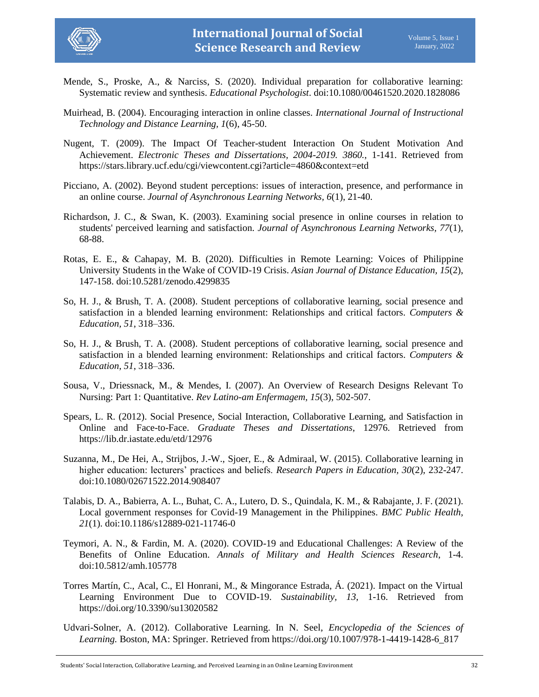

- Mende, S., Proske, A., & Narciss, S. (2020). Individual preparation for collaborative learning: Systematic review and synthesis. *Educational Psychologist*. doi:10.1080/00461520.2020.1828086
- Muirhead, B. (2004). Encouraging interaction in online classes. *International Journal of Instructional Technology and Distance Learning, 1*(6), 45-50.
- Nugent, T. (2009). The Impact Of Teacher-student Interaction On Student Motivation And Achievement. *Electronic Theses and Dissertations, 2004-2019. 3860.*, 1-141. Retrieved from https://stars.library.ucf.edu/cgi/viewcontent.cgi?article=4860&context=etd
- Picciano, A. (2002). Beyond student perceptions: issues of interaction, presence, and performance in an online course. *Journal of Asynchronous Learning Networks, 6*(1), 21-40.
- Richardson, J. C., & Swan, K. (2003). Examining social presence in online courses in relation to students' perceived learning and satisfaction. *Journal of Asynchronous Learning Networks, 77*(1), 68-88.
- Rotas, E. E., & Cahapay, M. B. (2020). Difficulties in Remote Learning: Voices of Philippine University Students in the Wake of COVID-19 Crisis. *Asian Journal of Distance Education, 15*(2), 147-158. doi:10.5281/zenodo.4299835
- So, H. J., & Brush, T. A. (2008). Student perceptions of collaborative learning, social presence and satisfaction in a blended learning environment: Relationships and critical factors. *Computers & Education, 51*, 318–336.
- So, H. J., & Brush, T. A. (2008). Student perceptions of collaborative learning, social presence and satisfaction in a blended learning environment: Relationships and critical factors. *Computers & Education, 51*, 318–336.
- Sousa, V., Driessnack, M., & Mendes, I. (2007). An Overview of Research Designs Relevant To Nursing: Part 1: Quantitative. *Rev Latino-am Enfermagem, 15*(3), 502-507.
- Spears, L. R. (2012). Social Presence, Social Interaction, Collaborative Learning, and Satisfaction in Online and Face-to-Face. *Graduate Theses and Dissertations*, 12976. Retrieved from https://lib.dr.iastate.edu/etd/12976
- Suzanna, M., De Hei, A., Strijbos, J.-W., Sjoer, E., & Admiraal, W. (2015). Collaborative learning in higher education: lecturers' practices and beliefs. *Research Papers in Education, 30*(2), 232-247. doi:10.1080/02671522.2014.908407
- Talabis, D. A., Babierra, A. L., Buhat, C. A., Lutero, D. S., Quindala, K. M., & Rabajante, J. F. (2021). Local government responses for Covid-19 Management in the Philippines. *BMC Public Health, 21*(1). doi:10.1186/s12889-021-11746-0
- Teymori, A. N., & Fardin, M. A. (2020). COVID-19 and Educational Challenges: A Review of the Benefits of Online Education. *Annals of Military and Health Sciences Research*, 1-4. doi:10.5812/amh.105778
- Torres Martín, C., Acal, C., El Honrani, M., & Mingorance Estrada, Á. (2021). Impact on the Virtual Learning Environment Due to COVID-19. *Sustainability, 13*, 1-16. Retrieved from https://doi.org/10.3390/su13020582
- Udvari-Solner, A. (2012). Collaborative Learning. In N. Seel, *Encyclopedia of the Sciences of Learning.* Boston, MA: Springer. Retrieved from https://doi.org/10.1007/978-1-4419-1428-6\_817